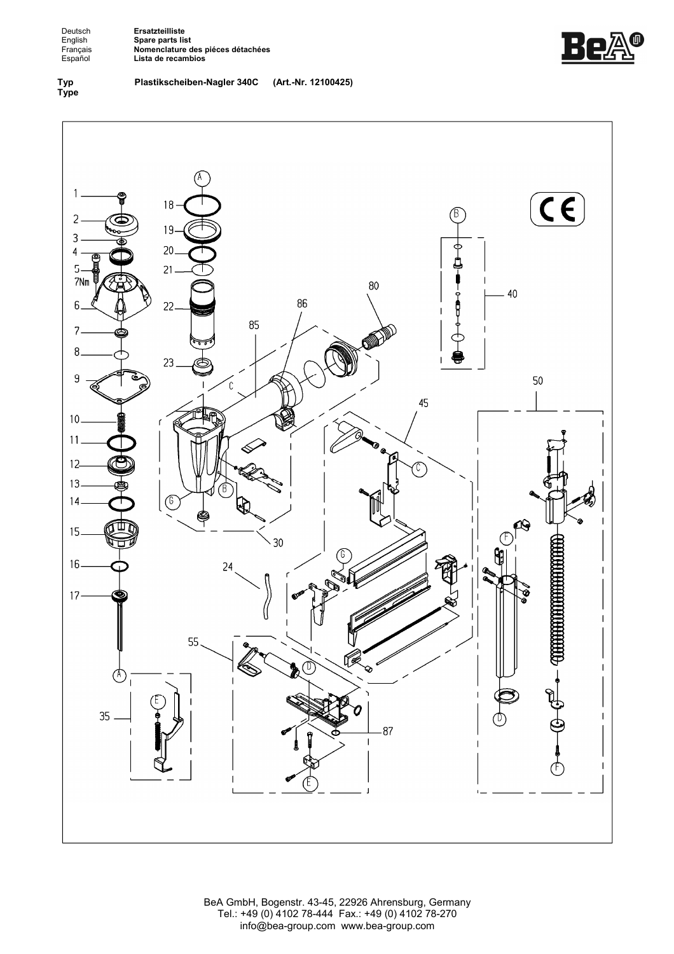Deutsch**ngendes Ersatzteilliste<br>
English Spare parts lis<br>
Français <b>Nomenclature**<br>
Español Lista de recan English **Spare parts list**  Français **Nomenclature des piéces détachées**  Español **Lista de recambios**

Be

**Typ Type**  **Plastikscheiben-Nagler 340C (Art.-Nr. 12100425)**



BeA GmbH, Bogenstr. 43-45, 22926 Ahrensburg, Germany Tel.: +49 (0) 4102 78-444 Fax.: +49 (0) 4102 78-270 info@bea-group.com www.bea-group.com